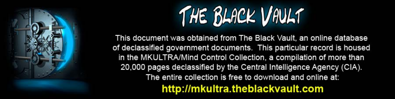

This document was obtained from The Black Vault, an online database of declassified government documents. This particular record is housed in the MKULTRA/Mind Control Collection, a compilation of more than 20,000 pages declassified by the Central Intelligence Agency (CIA). The entire collection is free to download and online at: http://mkultra.theblackvault.com